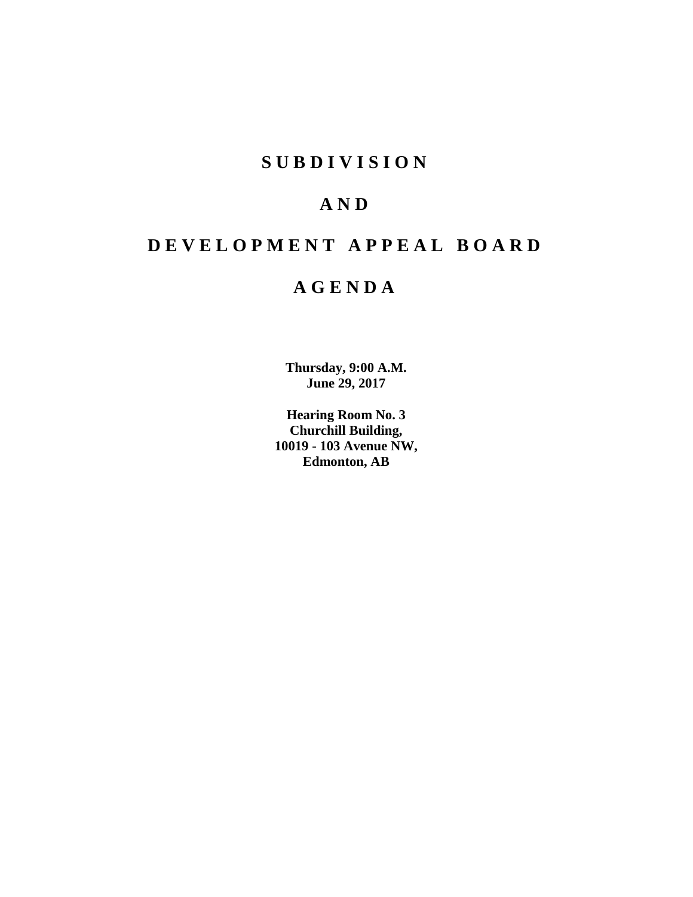# **SUBDIVISION**

# **AND**

# **DEVELOPMENT APPEAL BOARD**

# **AGENDA**

**Thursday, 9:00 A.M. June 29, 2017**

**Hearing Room No. 3 Churchill Building, 10019 - 103 Avenue NW, Edmonton, AB**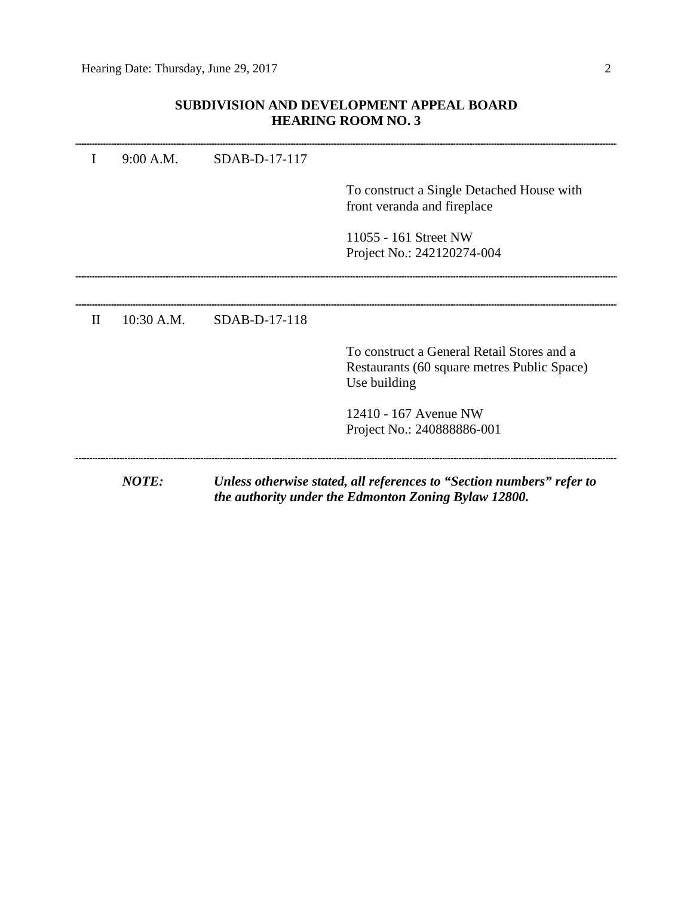# **SUBDIVISION AND DEVELOPMENT APPEAL BOARD HEARING ROOM NO. 3**

|              | <b>NOTE:</b> |               | Unless otherwise stated, all references to "Section numbers" refer to<br>the authority under the Edmonton Zoning Bylaw 12800. |
|--------------|--------------|---------------|-------------------------------------------------------------------------------------------------------------------------------|
|              |              |               | 12410 - 167 Avenue NW<br>Project No.: 240888886-001                                                                           |
|              |              |               | To construct a General Retail Stores and a<br>Restaurants (60 square metres Public Space)<br>Use building                     |
| $\mathbf{H}$ | 10:30 A.M.   | SDAB-D-17-118 |                                                                                                                               |
|              |              |               |                                                                                                                               |
|              |              |               | 11055 - 161 Street NW<br>Project No.: 242120274-004                                                                           |
|              |              |               | To construct a Single Detached House with<br>front veranda and fireplace                                                      |
| L            | 9:00 A.M.    | SDAB-D-17-117 |                                                                                                                               |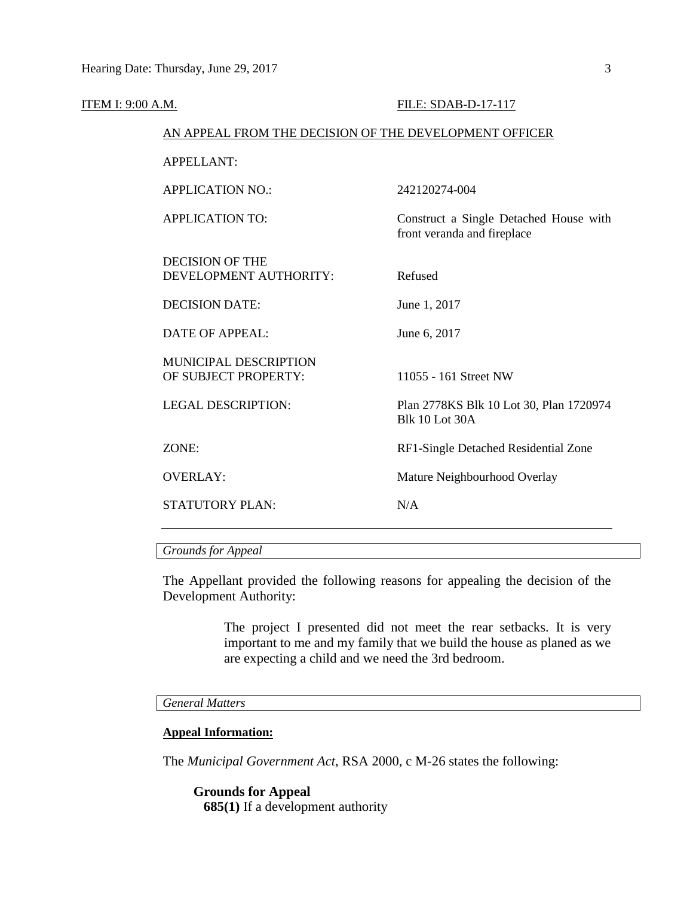| ITEM I: 9:00 A.M. |                                                        | FILE: SDAB-D-17-117                                                   |  |  |  |
|-------------------|--------------------------------------------------------|-----------------------------------------------------------------------|--|--|--|
|                   | AN APPEAL FROM THE DECISION OF THE DEVELOPMENT OFFICER |                                                                       |  |  |  |
|                   | <b>APPELLANT:</b>                                      |                                                                       |  |  |  |
|                   | <b>APPLICATION NO.:</b>                                | 242120274-004                                                         |  |  |  |
|                   | <b>APPLICATION TO:</b>                                 | Construct a Single Detached House with<br>front veranda and fireplace |  |  |  |
|                   | <b>DECISION OF THE</b><br>DEVELOPMENT AUTHORITY:       | Refused                                                               |  |  |  |
|                   | <b>DECISION DATE:</b>                                  | June 1, 2017                                                          |  |  |  |
|                   | <b>DATE OF APPEAL:</b>                                 | June 6, 2017                                                          |  |  |  |
|                   | <b>MUNICIPAL DESCRIPTION</b><br>OF SUBJECT PROPERTY:   | 11055 - 161 Street NW                                                 |  |  |  |
|                   | <b>LEGAL DESCRIPTION:</b>                              | Plan 2778KS Blk 10 Lot 30, Plan 1720974<br>Blk 10 Lot 30A             |  |  |  |
|                   | ZONE:                                                  | RF1-Single Detached Residential Zone                                  |  |  |  |
|                   | <b>OVERLAY:</b>                                        | Mature Neighbourhood Overlay                                          |  |  |  |
|                   | <b>STATUTORY PLAN:</b>                                 | N/A                                                                   |  |  |  |
|                   |                                                        |                                                                       |  |  |  |

# *Grounds for Appeal*

The Appellant provided the following reasons for appealing the decision of the Development Authority:

> The project I presented did not meet the rear setbacks. It is very important to me and my family that we build the house as planed as we are expecting a child and we need the 3rd bedroom.

## *General Matters*

#### **Appeal Information:**

The *Municipal Government Act*, RSA 2000, c M-26 states the following:

**Grounds for Appeal 685(1)** If a development authority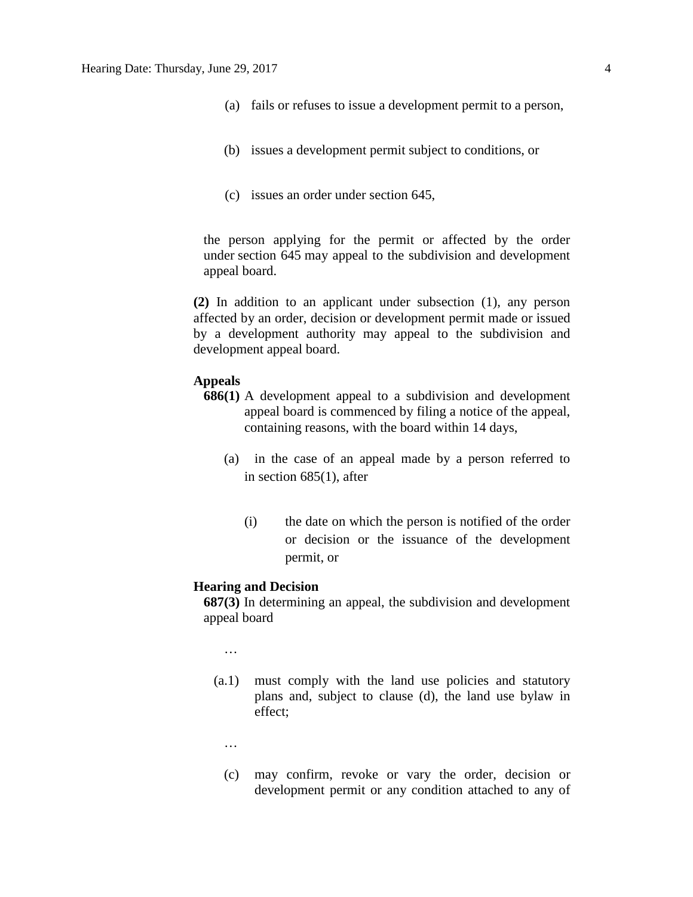- (a) fails or refuses to issue a development permit to a person,
- (b) issues a development permit subject to conditions, or
- (c) issues an order under section 645,

the person applying for the permit or affected by the order under section 645 may appeal to the subdivision and development appeal board.

**(2)** In addition to an applicant under subsection (1), any person affected by an order, decision or development permit made or issued by a development authority may appeal to the subdivision and development appeal board.

#### **Appeals**

- **686(1)** A development appeal to a subdivision and development appeal board is commenced by filing a notice of the appeal, containing reasons, with the board within 14 days,
	- (a) in the case of an appeal made by a person referred to in section 685(1), after
		- (i) the date on which the person is notified of the order or decision or the issuance of the development permit, or

#### **Hearing and Decision**

**687(3)** In determining an appeal, the subdivision and development appeal board

…

- (a.1) must comply with the land use policies and statutory plans and, subject to clause (d), the land use bylaw in effect;
	- …
	- (c) may confirm, revoke or vary the order, decision or development permit or any condition attached to any of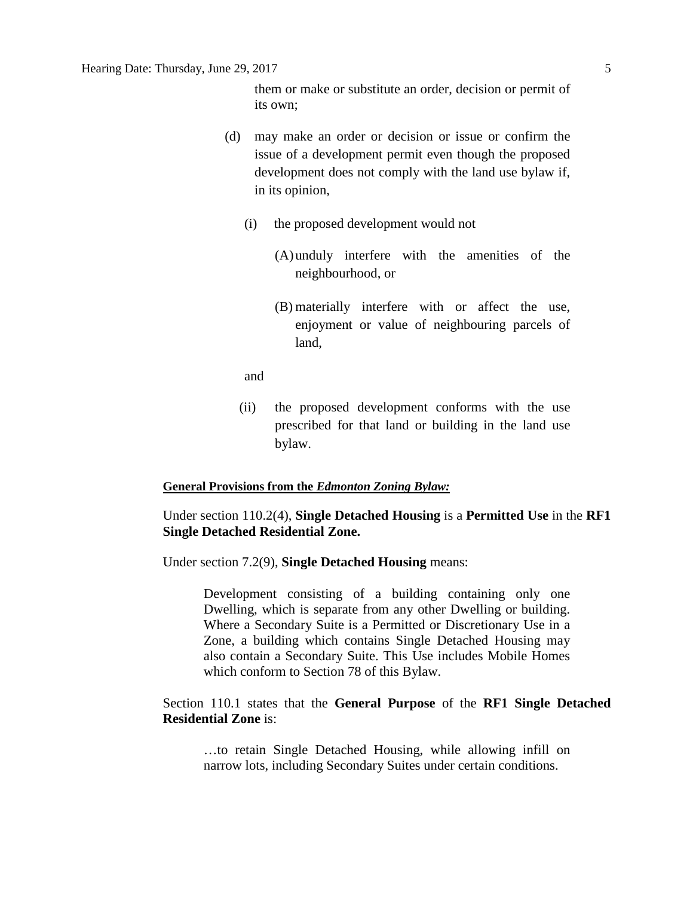them or make or substitute an order, decision or permit of its own;

- (d) may make an order or decision or issue or confirm the issue of a development permit even though the proposed development does not comply with the land use bylaw if, in its opinion,
	- (i) the proposed development would not
		- (A)unduly interfere with the amenities of the neighbourhood, or
		- (B) materially interfere with or affect the use, enjoyment or value of neighbouring parcels of land,

and

(ii) the proposed development conforms with the use prescribed for that land or building in the land use bylaw.

#### **General Provisions from the** *Edmonton Zoning Bylaw:*

Under section 110.2(4), **Single Detached Housing** is a **Permitted Use** in the **RF1 Single Detached Residential Zone.**

Under section 7.2(9), **Single Detached Housing** means:

Development consisting of a building containing only one Dwelling, which is separate from any other Dwelling or building. Where a Secondary Suite is a Permitted or Discretionary Use in a Zone, a building which contains Single Detached Housing may also contain a Secondary Suite. This Use includes Mobile Homes which conform to Section 78 of this Bylaw.

# Section 110.1 states that the **General Purpose** of the **RF1 Single Detached Residential Zone** is:

…to retain Single Detached Housing, while allowing infill on narrow lots, including Secondary Suites under certain conditions.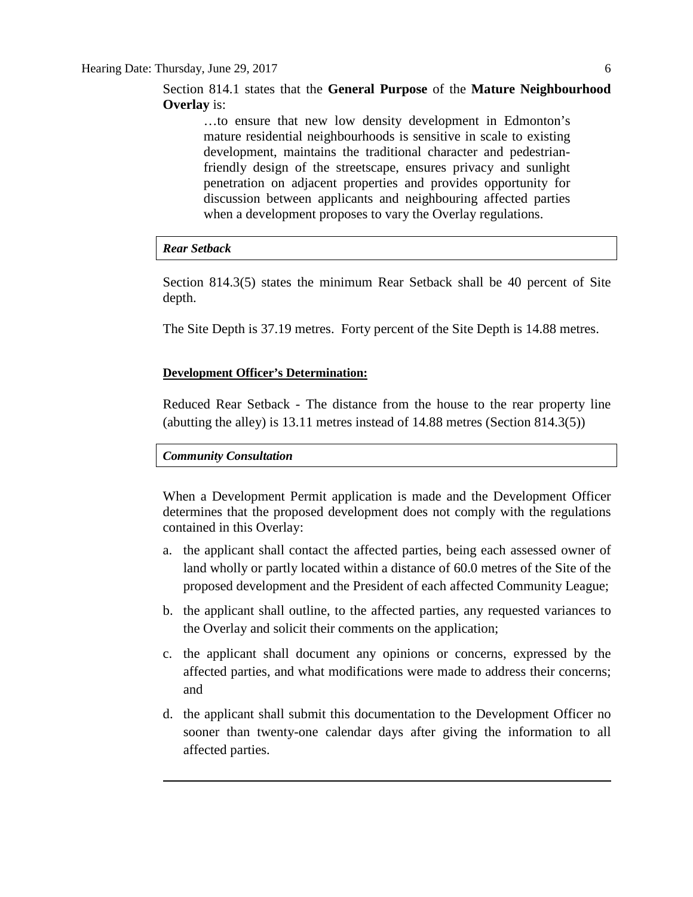…to ensure that new low density development in Edmonton's mature residential neighbourhoods is sensitive in scale to existing development, maintains the traditional character and pedestrianfriendly design of the streetscape, ensures privacy and sunlight penetration on adjacent properties and provides opportunity for discussion between applicants and neighbouring affected parties when a development proposes to vary the Overlay regulations.

#### *Rear Setback*

Section 814.3(5) states the minimum Rear Setback shall be 40 percent of Site depth.

The Site Depth is 37.19 metres. Forty percent of the Site Depth is 14.88 metres.

# **Development Officer's Determination:**

Reduced Rear Setback - The distance from the house to the rear property line (abutting the alley) is 13.11 metres instead of 14.88 metres (Section 814.3(5))

### *Community Consultation*

When a Development Permit application is made and the Development Officer determines that the proposed development does not comply with the regulations contained in this Overlay:

- a. the applicant shall contact the affected parties, being each assessed owner of land wholly or partly located within a distance of 60.0 metres of the Site of the proposed development and the President of each affected Community League;
- b. the applicant shall outline, to the affected parties, any requested variances to the Overlay and solicit their comments on the application;
- c. the applicant shall document any opinions or concerns, expressed by the affected parties, and what modifications were made to address their concerns; and
- d. the applicant shall submit this documentation to the Development Officer no sooner than twenty-one calendar days after giving the information to all affected parties.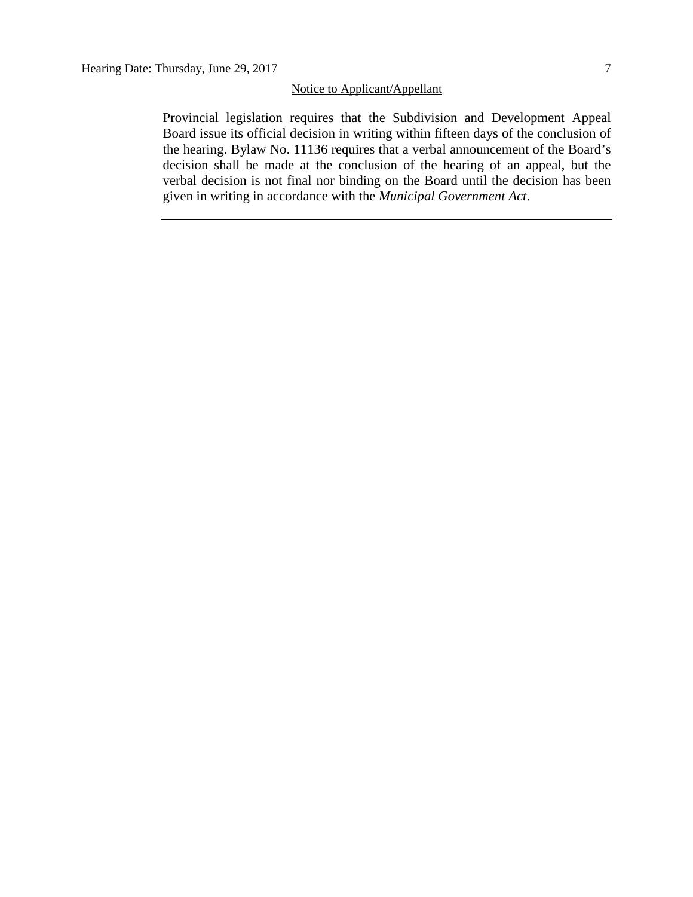#### Notice to Applicant/Appellant

Provincial legislation requires that the Subdivision and Development Appeal Board issue its official decision in writing within fifteen days of the conclusion of the hearing. Bylaw No. 11136 requires that a verbal announcement of the Board's decision shall be made at the conclusion of the hearing of an appeal, but the verbal decision is not final nor binding on the Board until the decision has been given in writing in accordance with the *Municipal Government Act*.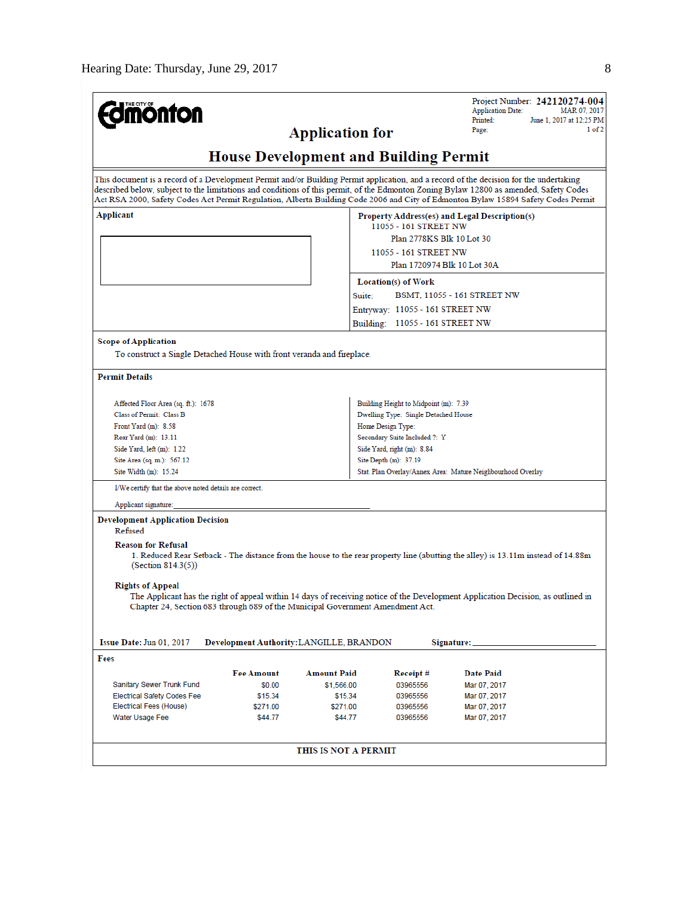| <b>nonfon</b>                                                                                                                                                                                                                                                                                                                                                                                                                                                                              |                                             |                                                                                                                                                                                            | <b>Application Date:</b><br>Printed:<br>Page:               | Project Number: 242120274-004<br>MAR 07, 2017<br>June 1, 2017 at 12:25 PM<br>1 of 2 |  |  |  |
|--------------------------------------------------------------------------------------------------------------------------------------------------------------------------------------------------------------------------------------------------------------------------------------------------------------------------------------------------------------------------------------------------------------------------------------------------------------------------------------------|---------------------------------------------|--------------------------------------------------------------------------------------------------------------------------------------------------------------------------------------------|-------------------------------------------------------------|-------------------------------------------------------------------------------------|--|--|--|
| <b>Application for</b><br><b>House Development and Building Permit</b>                                                                                                                                                                                                                                                                                                                                                                                                                     |                                             |                                                                                                                                                                                            |                                                             |                                                                                     |  |  |  |
| This document is a record of a Development Permit and/or Building Permit application, and a record of the decision for the undertaking<br>described below, subject to the limitations and conditions of this permit, of the Edmonton Zoning Bylaw 12800 as amended, Safety Codes<br>Act RSA 2000, Safety Codes Act Permit Regulation, Alberta Building Code 2006 and City of Edmonton Bylaw 15894 Safety Codes Permit                                                                      |                                             |                                                                                                                                                                                            |                                                             |                                                                                     |  |  |  |
| Applicant                                                                                                                                                                                                                                                                                                                                                                                                                                                                                  |                                             | Property Address(es) and Legal Description(s)<br>11055 - 161 STREET NW<br>Plan 2778KS Blk 10 Lot 30<br>11055 - 161 STREET NW<br>Plan 1720974 Blk 10 Lot 30A<br>Location(s) of Work         |                                                             |                                                                                     |  |  |  |
|                                                                                                                                                                                                                                                                                                                                                                                                                                                                                            | Suite:                                      | Entryway: 11055 - 161 STREET NW                                                                                                                                                            | BSMT, 11055 - 161 STREET NW                                 |                                                                                     |  |  |  |
|                                                                                                                                                                                                                                                                                                                                                                                                                                                                                            |                                             | Building: 11055 - 161 STREET NW                                                                                                                                                            |                                                             |                                                                                     |  |  |  |
| Scope of Application<br>To construct a Single Detached House with front veranda and fireplace.                                                                                                                                                                                                                                                                                                                                                                                             |                                             |                                                                                                                                                                                            |                                                             |                                                                                     |  |  |  |
| <b>Permit Details</b>                                                                                                                                                                                                                                                                                                                                                                                                                                                                      |                                             |                                                                                                                                                                                            |                                                             |                                                                                     |  |  |  |
| Affected Floor Area (sq. ft.): 1678<br>Class of Permit: Class B<br>Front Yard (m): 8.58<br>Rear Yard (m): 13.11<br>Side Yard, left (m): 1.22<br>Site Area (sq. m.): 567.12<br>Site Width (m): 15.24                                                                                                                                                                                                                                                                                        |                                             | Building Height to Midpoint (m): 7.39<br>Dwelling Type: Single Detached House<br>Home Design Type:<br>Secondary Suite Included ?: Y<br>Side Yard, right (m): 8.84<br>Site Depth (m): 37.19 | Stat. Plan Overlay/Annex Area: Mature Neighbourhood Overlay |                                                                                     |  |  |  |
| I/We certify that the above noted details are correct.                                                                                                                                                                                                                                                                                                                                                                                                                                     |                                             |                                                                                                                                                                                            |                                                             |                                                                                     |  |  |  |
| Applicant signature:                                                                                                                                                                                                                                                                                                                                                                                                                                                                       |                                             |                                                                                                                                                                                            |                                                             |                                                                                     |  |  |  |
| <b>Development Application Decision</b><br>Refused<br><b>Reason for Refusal</b><br>1. Reduced Rear Setback - The distance from the house to the rear property line (abutting the alley) is 13.11m instead of 14.88m<br>(Section 814.3(5))<br><b>Rights of Appeal</b><br>The Applicant has the right of appeal within 14 days of receiving notice of the Development Application Decision, as outlined in<br>Chapter 24, Section 683 through 689 of the Municipal Government Amendment Act. |                                             |                                                                                                                                                                                            |                                                             |                                                                                     |  |  |  |
| Issue Date: Jun 01, 2017<br>Development Authority: LANGILLE, BRANDON                                                                                                                                                                                                                                                                                                                                                                                                                       |                                             |                                                                                                                                                                                            | Signature:                                                  |                                                                                     |  |  |  |
| Fees<br><b>Fee Amount</b><br>Sanitary Sewer Trunk Fund<br>\$0.00<br><b>Electrical Safety Codes Fee</b><br>\$15.34                                                                                                                                                                                                                                                                                                                                                                          | <b>Amount Paid</b><br>\$1,566.00<br>\$15.34 | Receipt#<br>03965556<br>03965556                                                                                                                                                           | Date Paid<br>Mar 07, 2017<br>Mar 07, 2017                   |                                                                                     |  |  |  |
| Electrical Fees (House)<br>\$271.00<br>Water Usage Fee<br>\$44.77                                                                                                                                                                                                                                                                                                                                                                                                                          | \$271.00<br>\$44.77                         | 03965556<br>03965556                                                                                                                                                                       | Mar 07, 2017<br>Mar 07, 2017                                |                                                                                     |  |  |  |
|                                                                                                                                                                                                                                                                                                                                                                                                                                                                                            | THIS IS NOT A PERMIT                        |                                                                                                                                                                                            |                                                             |                                                                                     |  |  |  |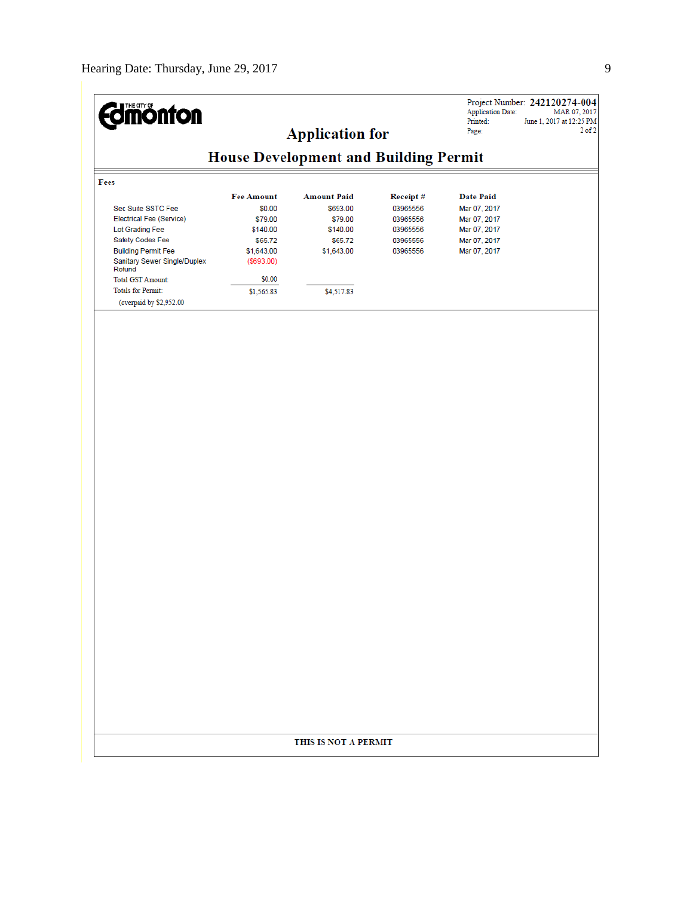| <b>dmönton</b>                                                       |                                        | <b>Application for</b>                    |                                  | <b>Application Date:</b><br>Printed:<br>Page:    | Project Number: 242120274-004<br>MAR 07, 2017<br>June 1, 2017 at 12:25 PM<br>$2$ of $2$ |  |
|----------------------------------------------------------------------|----------------------------------------|-------------------------------------------|----------------------------------|--------------------------------------------------|-----------------------------------------------------------------------------------------|--|
|                                                                      |                                        |                                           |                                  |                                                  |                                                                                         |  |
| <b>House Development and Building Permit</b>                         |                                        |                                           |                                  |                                                  |                                                                                         |  |
| Fees                                                                 |                                        |                                           |                                  |                                                  |                                                                                         |  |
| Sec Suite SSTC Fee<br>Electrical Fee (Service)                       | <b>Fee Amount</b><br>\$0.00<br>\$79.00 | <b>Amount Paid</b><br>\$693.00<br>\$79.00 | Receipt#<br>03965556<br>03965556 | <b>Date Paid</b><br>Mar 07, 2017<br>Mar 07, 2017 |                                                                                         |  |
| Lot Grading Fee<br>Safety Codes Fee                                  | \$140.00<br>\$65.72                    | \$140.00<br>\$65.72                       | 03965556<br>03965556             | Mar 07, 2017<br>Mar 07, 2017                     |                                                                                         |  |
| <b>Building Permit Fee</b><br>Sanitary Sewer Single/Duplex<br>Refund | \$1,643.00<br>( \$693.00)              | \$1,643.00                                | 03965556                         | Mar 07, 2017                                     |                                                                                         |  |
| Total GST Amount:<br><b>Totals for Permit:</b>                       | \$0.00<br>\$1,565.83                   | \$4,517.83                                |                                  |                                                  |                                                                                         |  |
| (overpaid by \$2,952.00                                              |                                        |                                           |                                  |                                                  |                                                                                         |  |
|                                                                      |                                        |                                           |                                  |                                                  |                                                                                         |  |
|                                                                      |                                        |                                           |                                  |                                                  |                                                                                         |  |
|                                                                      |                                        |                                           |                                  |                                                  |                                                                                         |  |
|                                                                      |                                        |                                           |                                  |                                                  |                                                                                         |  |
|                                                                      |                                        |                                           |                                  |                                                  |                                                                                         |  |
|                                                                      |                                        |                                           |                                  |                                                  |                                                                                         |  |
|                                                                      |                                        |                                           |                                  |                                                  |                                                                                         |  |
|                                                                      |                                        |                                           |                                  |                                                  |                                                                                         |  |
|                                                                      |                                        |                                           |                                  |                                                  |                                                                                         |  |
|                                                                      |                                        |                                           |                                  |                                                  |                                                                                         |  |
|                                                                      |                                        |                                           |                                  |                                                  |                                                                                         |  |
|                                                                      |                                        |                                           |                                  |                                                  |                                                                                         |  |
|                                                                      |                                        |                                           |                                  |                                                  |                                                                                         |  |
|                                                                      |                                        |                                           |                                  |                                                  |                                                                                         |  |
|                                                                      |                                        | THIS IS NOT A PERMIT                      |                                  |                                                  |                                                                                         |  |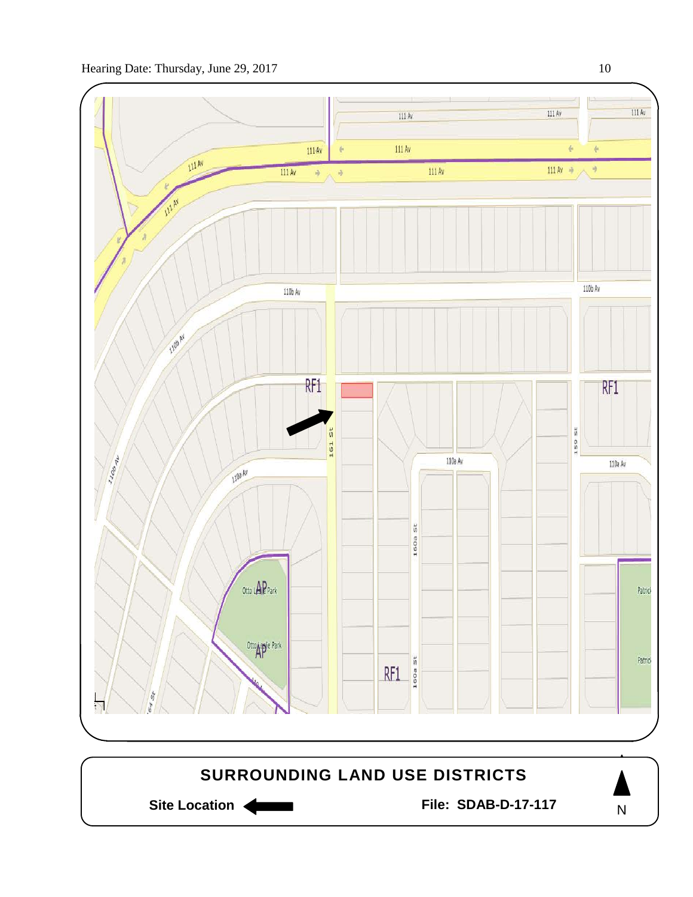

N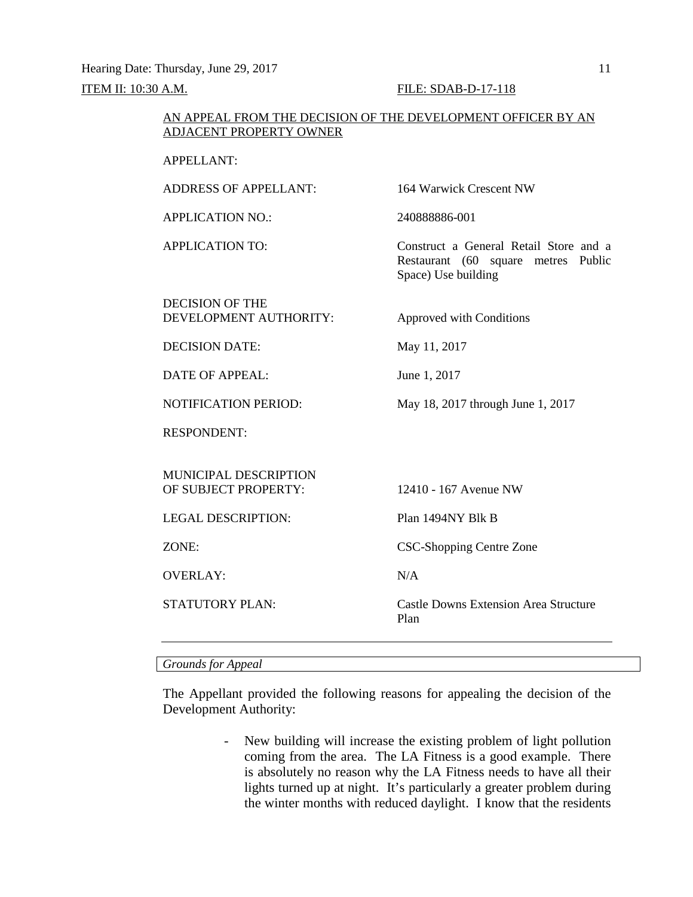Hearing Date: Thursday, June 29, 2017 11 **ITEM II: 10:30 A.M. FILE: SDAB-D-17-118** 

#### AN APPEAL FROM THE DECISION OF THE DEVELOPMENT OFFICER BY AN ADJACENT PROPERTY OWNER

#### APPELLANT:

ADDRESS OF APPELLANT: 164 Warwick Crescent NW

APPLICATION NO.: 240888886-001

APPLICATION TO: Construct a General Retail Store and a

DECISION OF THE DEVELOPMENT AUTHORITY: Approved with Conditions

Space) Use building

DECISION DATE: May 11, 2017

DATE OF APPEAL: June 1, 2017

NOTIFICATION PERIOD: May 18, 2017 through June 1, 2017

RESPONDENT:

MUNICIPAL DESCRIPTION OF SUBJECT PROPERTY: 12410 - 167 Avenue NW

LEGAL DESCRIPTION: Plan 1494NY Blk B

OVERLAY: N/A

ZONE: CSC-Shopping Centre Zone

STATUTORY PLAN: Castle Downs Extension Area Structure Plan

Restaurant (60 square metres Public

#### *Grounds for Appeal*

The Appellant provided the following reasons for appealing the decision of the Development Authority:

> - New building will increase the existing problem of light pollution coming from the area. The LA Fitness is a good example. There is absolutely no reason why the LA Fitness needs to have all their lights turned up at night. It's particularly a greater problem during the winter months with reduced daylight. I know that the residents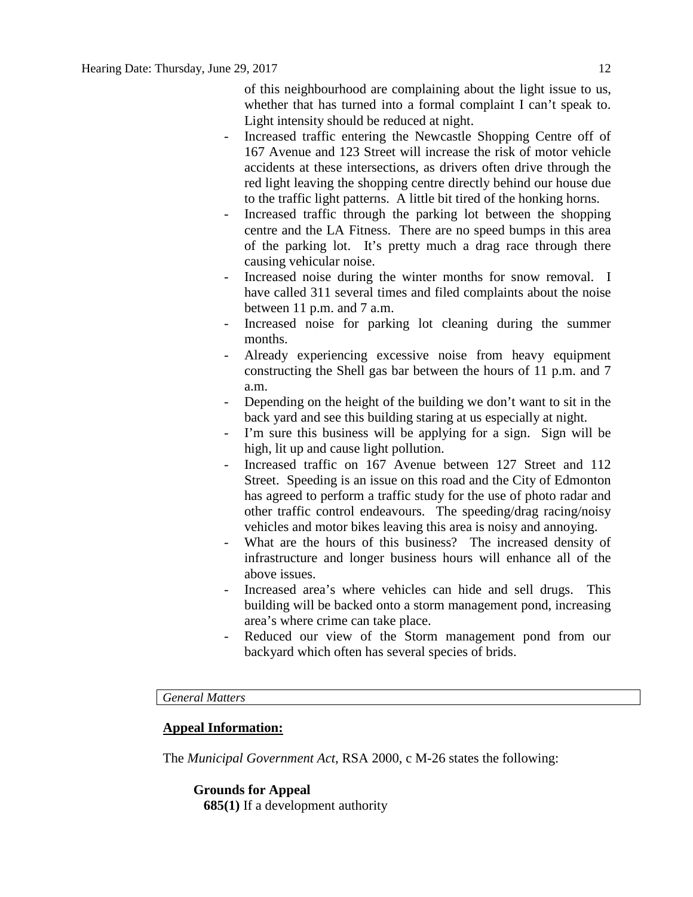of this neighbourhood are complaining about the light issue to us, whether that has turned into a formal complaint I can't speak to. Light intensity should be reduced at night.

- Increased traffic entering the Newcastle Shopping Centre off of 167 Avenue and 123 Street will increase the risk of motor vehicle accidents at these intersections, as drivers often drive through the red light leaving the shopping centre directly behind our house due to the traffic light patterns. A little bit tired of the honking horns.
- Increased traffic through the parking lot between the shopping centre and the LA Fitness. There are no speed bumps in this area of the parking lot. It's pretty much a drag race through there causing vehicular noise.
- Increased noise during the winter months for snow removal. I have called 311 several times and filed complaints about the noise between 11 p.m. and 7 a.m.
- Increased noise for parking lot cleaning during the summer months.
- Already experiencing excessive noise from heavy equipment constructing the Shell gas bar between the hours of 11 p.m. and 7 a.m.
- Depending on the height of the building we don't want to sit in the back yard and see this building staring at us especially at night.
- I'm sure this business will be applying for a sign. Sign will be high, lit up and cause light pollution.
- Increased traffic on 167 Avenue between 127 Street and 112 Street. Speeding is an issue on this road and the City of Edmonton has agreed to perform a traffic study for the use of photo radar and other traffic control endeavours. The speeding/drag racing/noisy vehicles and motor bikes leaving this area is noisy and annoying.
- What are the hours of this business? The increased density of infrastructure and longer business hours will enhance all of the above issues.
- Increased area's where vehicles can hide and sell drugs. This building will be backed onto a storm management pond, increasing area's where crime can take place.
- Reduced our view of the Storm management pond from our backyard which often has several species of brids.

*General Matters*

# **Appeal Information:**

The *Municipal Government Act*, RSA 2000, c M-26 states the following:

# **Grounds for Appeal**

**685(1)** If a development authority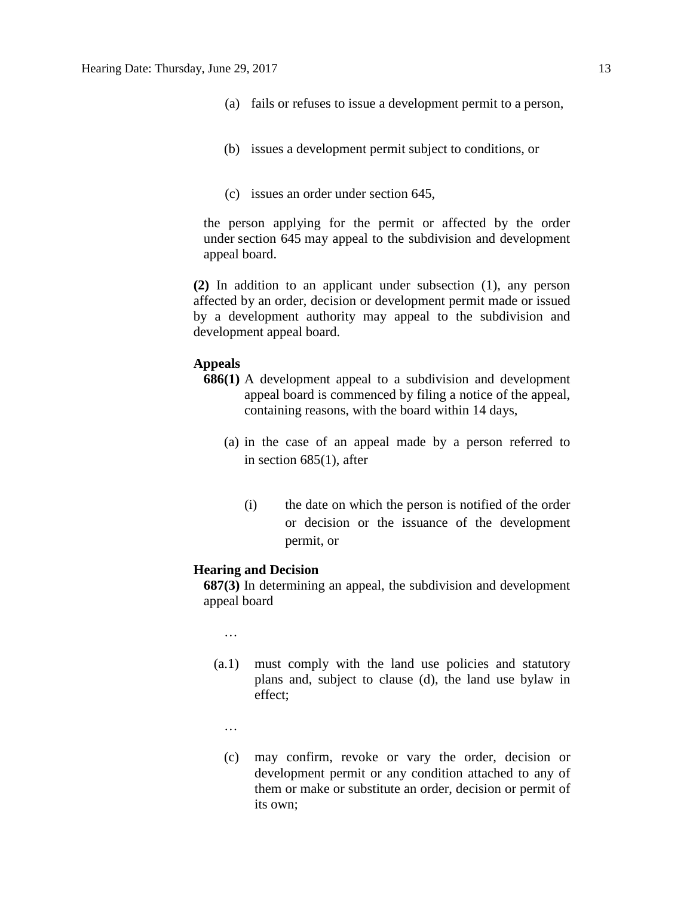- (a) fails or refuses to issue a development permit to a person,
- (b) issues a development permit subject to conditions, or
- (c) issues an order under section 645,

the person applying for the permit or affected by the order under section 645 may appeal to the subdivision and development appeal board.

**(2)** In addition to an applicant under subsection (1), any person affected by an order, decision or development permit made or issued by a development authority may appeal to the subdivision and development appeal board.

#### **Appeals**

- **686(1)** A development appeal to a subdivision and development appeal board is commenced by filing a notice of the appeal, containing reasons, with the board within 14 days,
	- (a) in the case of an appeal made by a person referred to in section 685(1), after
		- (i) the date on which the person is notified of the order or decision or the issuance of the development permit, or

#### **Hearing and Decision**

**687(3)** In determining an appeal, the subdivision and development appeal board

…

- (a.1) must comply with the land use policies and statutory plans and, subject to clause (d), the land use bylaw in effect;
	- …
	- (c) may confirm, revoke or vary the order, decision or development permit or any condition attached to any of them or make or substitute an order, decision or permit of its own;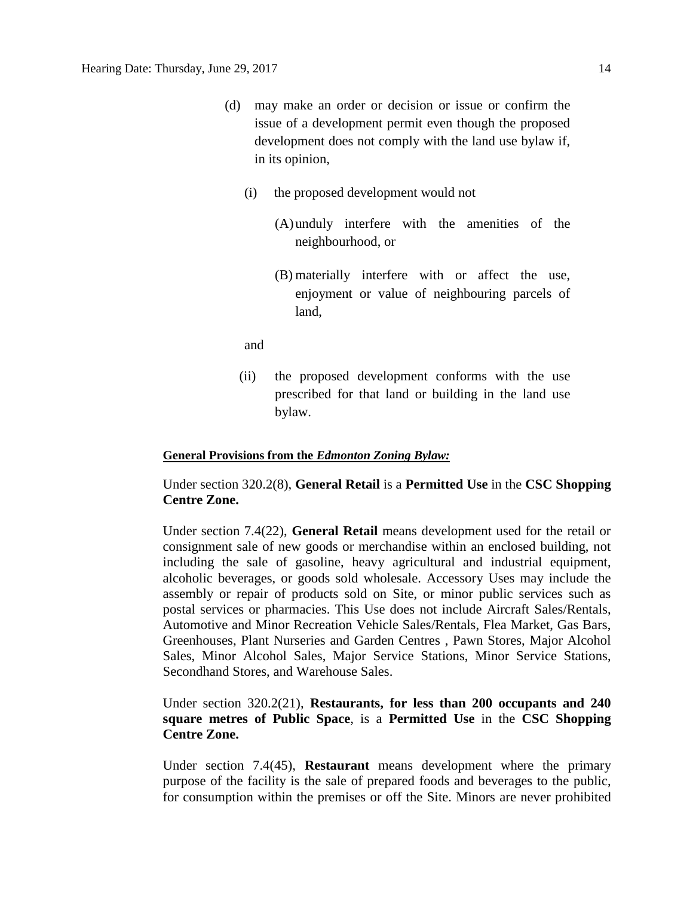- (d) may make an order or decision or issue or confirm the issue of a development permit even though the proposed development does not comply with the land use bylaw if, in its opinion,
	- (i) the proposed development would not
		- (A)unduly interfere with the amenities of the neighbourhood, or
		- (B) materially interfere with or affect the use, enjoyment or value of neighbouring parcels of land,

and

(ii) the proposed development conforms with the use prescribed for that land or building in the land use bylaw.

#### **General Provisions from the** *Edmonton Zoning Bylaw:*

# Under section 320.2(8), **General Retail** is a **Permitted Use** in the **CSC Shopping Centre Zone.**

Under section 7.4(22), **General Retail** means development used for the retail or consignment sale of new goods or merchandise within an enclosed building, not including the sale of gasoline, heavy agricultural and industrial equipment, alcoholic beverages, or goods sold wholesale. Accessory Uses may include the assembly or repair of products sold on Site, or minor public services such as postal services or pharmacies. This Use does not include Aircraft Sales/Rentals, Automotive and Minor Recreation Vehicle Sales/Rentals, Flea Market, Gas Bars, Greenhouses, Plant Nurseries and Garden Centres , Pawn Stores, Major Alcohol Sales, Minor Alcohol Sales, Major Service Stations, Minor Service Stations, Secondhand Stores, and Warehouse Sales.

# Under section 320.2(21), **Restaurants, for less than 200 occupants and 240 square metres of Public Space**, is a **Permitted Use** in the **CSC Shopping Centre Zone.**

Under section 7.4(45), **Restaurant** means development where the primary purpose of the facility is the sale of prepared foods and beverages to the public, for consumption within the premises or off the Site. Minors are never prohibited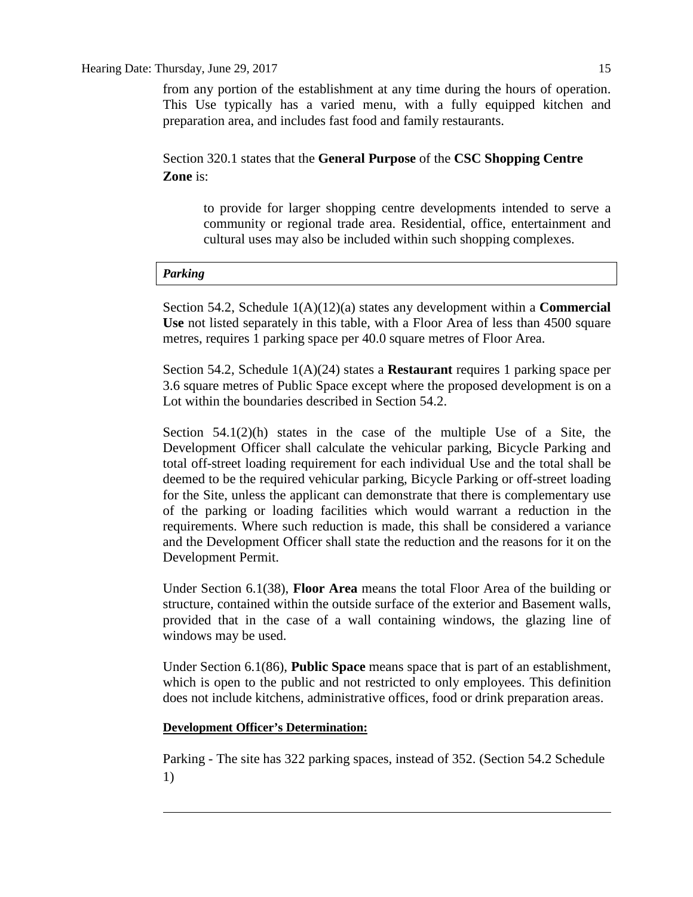### Hearing Date: Thursday, June 29, 2017 15

from any portion of the establishment at any time during the hours of operation. This Use typically has a varied menu, with a fully equipped kitchen and preparation area, and includes fast food and family restaurants.

Section 320.1 states that the **General Purpose** of the **CSC Shopping Centre Zone** is:

to provide for larger shopping centre developments intended to serve a community or regional trade area. Residential, office, entertainment and cultural uses may also be included within such shopping complexes.

# *Parking*

Section 54.2, Schedule 1(A)(12)(a) states any development within a **Commercial Use** not listed separately in this table, with a Floor Area of less than 4500 square metres, requires 1 parking space per 40.0 square metres of Floor Area.

Section 54.2, Schedule 1(A)(24) states a **Restaurant** requires 1 parking space per 3.6 square metres of Public Space except where the proposed development is on a Lot within the boundaries described in Section 54.2.

Section  $54.1(2)(h)$  states in the case of the multiple Use of a Site, the Development Officer shall calculate the vehicular parking, Bicycle Parking and total off-street loading requirement for each individual Use and the total shall be deemed to be the required vehicular parking, Bicycle Parking or off-street loading for the Site, unless the applicant can demonstrate that there is complementary use of the parking or loading facilities which would warrant a reduction in the requirements. Where such reduction is made, this shall be considered a variance and the Development Officer shall state the reduction and the reasons for it on the Development Permit.

Under Section 6.1(38), **Floor Area** means the total Floor Area of the building or structure, contained within the outside surface of the exterior and Basement walls, provided that in the case of a wall containing windows, the glazing line of windows may be used.

Under Section 6.1(86), **Public Space** means space that is part of an establishment, which is open to the public and not restricted to only employees. This definition does not include kitchens, administrative offices, food or drink preparation areas.

# **Development Officer's Determination:**

Parking - The site has 322 parking spaces, instead of 352. (Section 54.2 Schedule 1)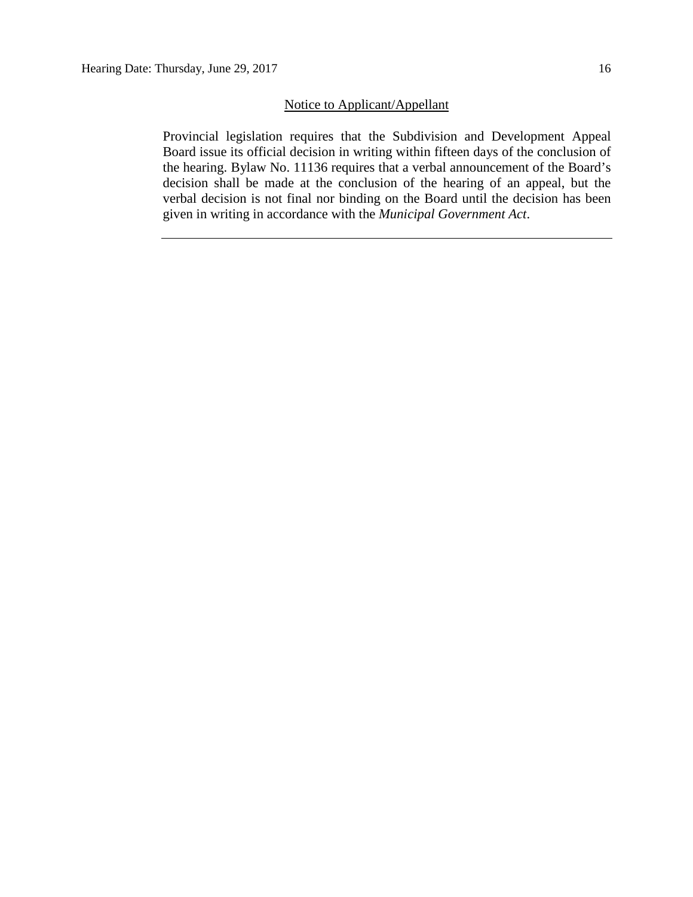## Notice to Applicant/Appellant

Provincial legislation requires that the Subdivision and Development Appeal Board issue its official decision in writing within fifteen days of the conclusion of the hearing. Bylaw No. 11136 requires that a verbal announcement of the Board's decision shall be made at the conclusion of the hearing of an appeal, but the verbal decision is not final nor binding on the Board until the decision has been given in writing in accordance with the *Municipal Government Act*.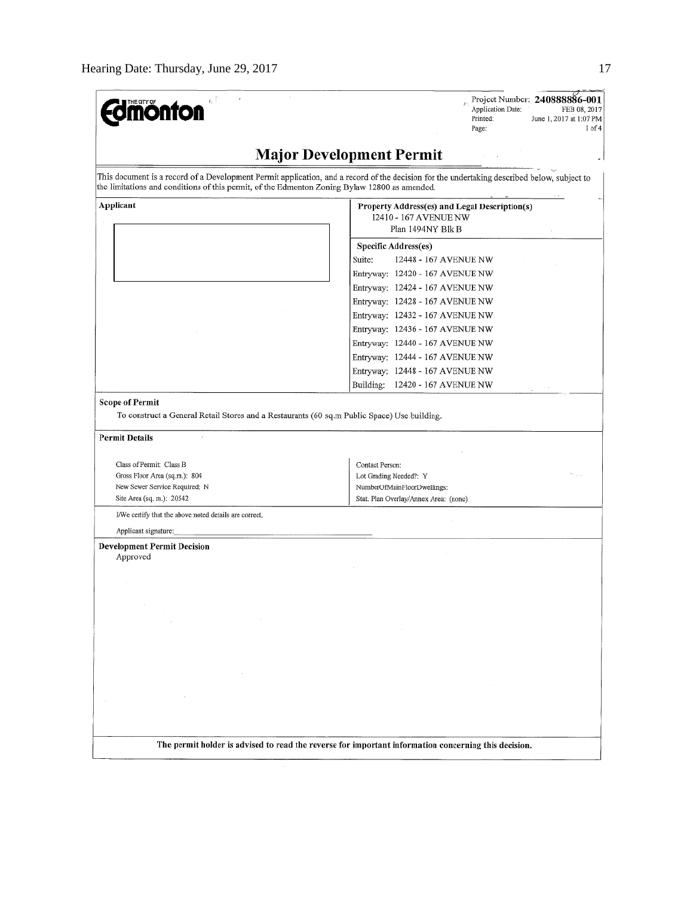| $_b$ $^{\circ}$<br><b>dmönton</b>                                                             | Project Number: 240888886-001<br>Application Date:<br>FEB 08, 2017<br>Printed:<br>June 1, 2017 at 1:07 PM<br>$1$ of $4$<br>Page:            |
|-----------------------------------------------------------------------------------------------|---------------------------------------------------------------------------------------------------------------------------------------------|
|                                                                                               | <b>Major Development Permit</b>                                                                                                             |
| the limitations and conditions of this permit, of the Edmonton Zoning Bylaw 12800 as amended. | This document is a record of a Development Permit application, and a record of the decision for the undertaking described below, subject to |
| Applicant                                                                                     | Property Address(es) and Legal Description(s)<br>12410 - 167 AVENUE NW                                                                      |
|                                                                                               | Plan 1494NY Blk B                                                                                                                           |
|                                                                                               | Specific Address(es)                                                                                                                        |
|                                                                                               | Suite:<br>12448 - 167 AVENUE NW                                                                                                             |
|                                                                                               | Entryway: 12420 - 167 AVENUE NW                                                                                                             |
|                                                                                               | Entryway: 12424 - 167 AVENUE NW                                                                                                             |
|                                                                                               | Entryway: 12428 - 167 AVENUE NW                                                                                                             |
|                                                                                               | Entryway: 12432 - 167 AVENUE NW                                                                                                             |
|                                                                                               | Entryway: 12436 - 167 AVENUE NW                                                                                                             |
|                                                                                               | Entryway: 12440 - 167 AVENUE NW                                                                                                             |
|                                                                                               | Entryway: 12444 - 167 AVENUE NW                                                                                                             |
|                                                                                               | Entryway: 12448 - 167 AVENUE NW                                                                                                             |
|                                                                                               | Building:<br>12420 - 167 AVENUE NW                                                                                                          |
| <b>Scope of Permit</b>                                                                        |                                                                                                                                             |
| To construct a General Retail Stores and a Restaurants (60 sq.m Public Space) Use building.   |                                                                                                                                             |
|                                                                                               |                                                                                                                                             |
| <b>Permit Details</b>                                                                         |                                                                                                                                             |
|                                                                                               |                                                                                                                                             |
| Class of Permit: Class B<br>Gross Floor Area (sq.m.): 804                                     | Contact Person:<br>Lot Grading Needed?: Y                                                                                                   |
| New Sewer Service Required; N                                                                 | NumberOfMainFloorDwellings:                                                                                                                 |
| Site Area (sq. m.): 20542                                                                     | Stat, Plan Overlay/Annex Area: (none)                                                                                                       |
| I/We certify that the above noted details are correct,                                        |                                                                                                                                             |
| Applicant signature:                                                                          |                                                                                                                                             |
| <b>Development Permit Decision</b>                                                            |                                                                                                                                             |
| Approved                                                                                      |                                                                                                                                             |
|                                                                                               |                                                                                                                                             |
|                                                                                               |                                                                                                                                             |
|                                                                                               |                                                                                                                                             |
|                                                                                               |                                                                                                                                             |
|                                                                                               |                                                                                                                                             |
|                                                                                               |                                                                                                                                             |
|                                                                                               |                                                                                                                                             |
|                                                                                               |                                                                                                                                             |
|                                                                                               |                                                                                                                                             |
|                                                                                               |                                                                                                                                             |
|                                                                                               |                                                                                                                                             |
|                                                                                               |                                                                                                                                             |
|                                                                                               |                                                                                                                                             |
|                                                                                               | The permit holder is advised to read the reverse for important information concerning this decision.                                        |
|                                                                                               |                                                                                                                                             |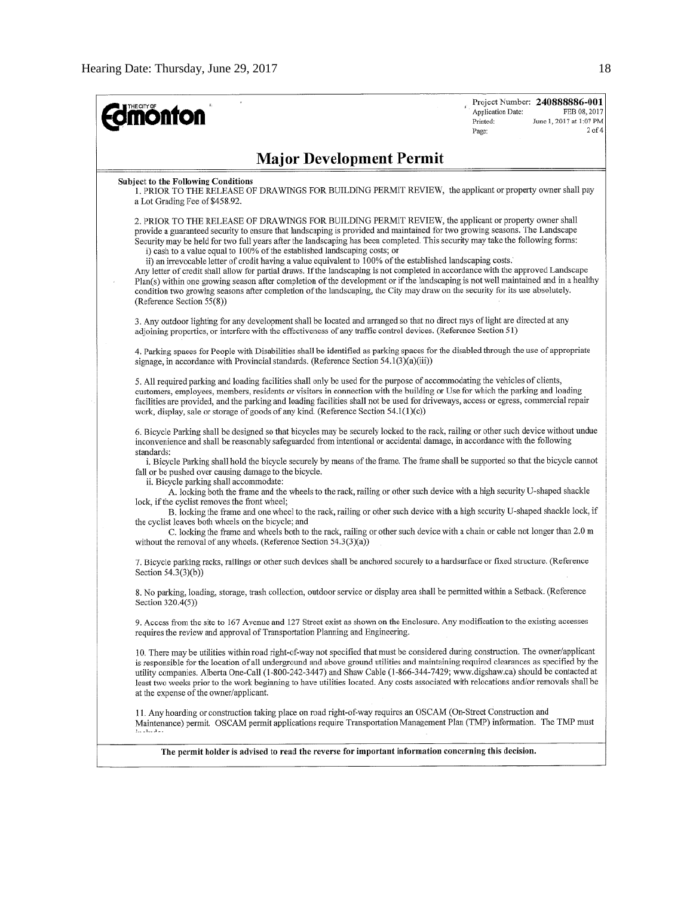| <b>dmönton</b>                                                                                                                                                                                                                                                                                                                                                                                                                                                                                                                                                                                                                                                                                                                                                                                                                                                                                                                                                                                            | Project Number: 240888886-001<br>Application Date:<br>FEB 08, 2017<br>Printed:<br>June 1, 2017 at 1:07 PM<br>$2$ of $4$<br>Page: |  |  |  |  |  |  |  |
|-----------------------------------------------------------------------------------------------------------------------------------------------------------------------------------------------------------------------------------------------------------------------------------------------------------------------------------------------------------------------------------------------------------------------------------------------------------------------------------------------------------------------------------------------------------------------------------------------------------------------------------------------------------------------------------------------------------------------------------------------------------------------------------------------------------------------------------------------------------------------------------------------------------------------------------------------------------------------------------------------------------|----------------------------------------------------------------------------------------------------------------------------------|--|--|--|--|--|--|--|
| <b>Major Development Permit</b>                                                                                                                                                                                                                                                                                                                                                                                                                                                                                                                                                                                                                                                                                                                                                                                                                                                                                                                                                                           |                                                                                                                                  |  |  |  |  |  |  |  |
| <b>Subject to the Following Conditions</b><br>1. PRIOR TO THE RELEASE OF DRAWINGS FOR BUILDING PERMIT REVIEW, the applicant or property owner shall pay<br>a Lot Grading Fee of \$458.92.                                                                                                                                                                                                                                                                                                                                                                                                                                                                                                                                                                                                                                                                                                                                                                                                                 |                                                                                                                                  |  |  |  |  |  |  |  |
| 2. PRIOR TO THE RELEASE OF DRAWINGS FOR BUILDING PERMIT REVIEW, the applicant or property owner shall<br>provide a guaranteed security to ensure that landscaping is provided and maintained for two growing seasons. The Landscape<br>Security may be held for two full years after the landscaping has been completed. This security may take the following forms:<br>i) cash to a value equal to 100% of the established landscaping costs; or<br>ii) an irrevocable letter of credit having a value equivalent to 100% of the established landscaping costs.<br>Any letter of credit shall allow for partial draws. If the landscaping is not completed in accordance with the approved Landscape<br>Plan(s) within one growing season after completion of the development or if the landscaping is not well maintained and in a healthy<br>condition two growing seasons after completion of the landscaping, the City may draw on the security for its use absolutely.<br>(Reference Section 55(8)) |                                                                                                                                  |  |  |  |  |  |  |  |
| 3. Any outdoor lighting for any development shall be located and arranged so that no direct rays of light are directed at any<br>adjoining properties, or interfere with the effectiveness of any traffic control devices. (Reference Section 51)                                                                                                                                                                                                                                                                                                                                                                                                                                                                                                                                                                                                                                                                                                                                                         |                                                                                                                                  |  |  |  |  |  |  |  |
| 4. Parking spaces for People with Disabilities shall be identified as parking spaces for the disabled through the use of appropriate<br>signage, in accordance with Provincial standards. (Reference Section 54.1(3)(a)(iii))                                                                                                                                                                                                                                                                                                                                                                                                                                                                                                                                                                                                                                                                                                                                                                             |                                                                                                                                  |  |  |  |  |  |  |  |
| 5. All required parking and loading facilities shall only be used for the purpose of accommodating the vehicles of clients,<br>customers, employees, members, residents or visitors in connection with the building or Use for which the parking and loading<br>facilities are provided, and the parking and loading facilities shall not be used for driveways, access or egress, commercial repair<br>work, display, sale or storage of goods of any kind. (Reference Section 54.1(1)(c))                                                                                                                                                                                                                                                                                                                                                                                                                                                                                                               |                                                                                                                                  |  |  |  |  |  |  |  |
| 6. Bicycle Parking shall be designed so that bicycles may be securely locked to the rack, railing or other such device without undue<br>inconvenience and shall be reasonably safeguarded from intentional or accidental damage, in accordance with the following<br>standards:                                                                                                                                                                                                                                                                                                                                                                                                                                                                                                                                                                                                                                                                                                                           |                                                                                                                                  |  |  |  |  |  |  |  |
| i. Bicycle Parking shall hold the bicycle securely by means of the frame. The frame shall be supported so that the bicycle cannot<br>fall or be pushed over causing damage to the bicycle.<br>ii. Bicycle parking shall accommodate:<br>A. locking both the frame and the wheels to the rack, railing or other such device with a high security U-shaped shackle<br>lock, if the cyclist removes the front wheel;<br>B. locking the frame and one wheel to the rack, railing or other such device with a high security U-shaped shackle lock, if<br>the cyclist leaves both wheels on the bicycle; and<br>C. locking the frame and wheels both to the rack, railing or other such device with a chain or cable not longer than 2.0 m<br>without the removal of any wheels. (Reference Section $54.3(3)(a)$ )                                                                                                                                                                                              |                                                                                                                                  |  |  |  |  |  |  |  |
| 7. Bicycle parking racks, railings or other such devices shall be anchored securely to a hardsurface or fixed structure. (Reference<br>Section 54.3(3)(b))                                                                                                                                                                                                                                                                                                                                                                                                                                                                                                                                                                                                                                                                                                                                                                                                                                                |                                                                                                                                  |  |  |  |  |  |  |  |
| 8. No parking, loading, storage, trash collection, outdoor service or display area shall be permitted within a Setback. (Reference<br>Section 320.4(5))                                                                                                                                                                                                                                                                                                                                                                                                                                                                                                                                                                                                                                                                                                                                                                                                                                                   |                                                                                                                                  |  |  |  |  |  |  |  |
| 9. Access from the site to 167 Avenue and 127 Street exist as shown on the Enclosure. Any modification to the existing accesses<br>requires the review and approval of Transportation Planning and Engineering.                                                                                                                                                                                                                                                                                                                                                                                                                                                                                                                                                                                                                                                                                                                                                                                           |                                                                                                                                  |  |  |  |  |  |  |  |
| 10. There may be utilities within road right-of-way not specified that must be considered during construction. The owner/applicant<br>is responsible for the location of all underground and above ground utilities and maintaining required clearances as specified by the<br>utility companies. Alberta One-Call (1-800-242-3447) and Shaw Cable (1-866-344-7429; www.digshaw.ca) should be contacted at<br>least two weeks prior to the work beginning to have utilities located. Any costs associated with relocations and/or removals shall be<br>at the expense of the owner/applicant.                                                                                                                                                                                                                                                                                                                                                                                                             |                                                                                                                                  |  |  |  |  |  |  |  |
| 11. Any hoarding or construction taking place on road right-of-way requires an OSCAM (On-Street Construction and<br>Maintenance) permit. OSCAM permit applications require Transportation Management Plan (TMP) information. The TMP must<br>$\mathbb{E}_{\mathcal{F}}$ . Then $\mathcal{F}=\mathcal{F}$                                                                                                                                                                                                                                                                                                                                                                                                                                                                                                                                                                                                                                                                                                  |                                                                                                                                  |  |  |  |  |  |  |  |
| The permit holder is advised to read the reverse for important information concerning this decision.                                                                                                                                                                                                                                                                                                                                                                                                                                                                                                                                                                                                                                                                                                                                                                                                                                                                                                      |                                                                                                                                  |  |  |  |  |  |  |  |
|                                                                                                                                                                                                                                                                                                                                                                                                                                                                                                                                                                                                                                                                                                                                                                                                                                                                                                                                                                                                           |                                                                                                                                  |  |  |  |  |  |  |  |
|                                                                                                                                                                                                                                                                                                                                                                                                                                                                                                                                                                                                                                                                                                                                                                                                                                                                                                                                                                                                           |                                                                                                                                  |  |  |  |  |  |  |  |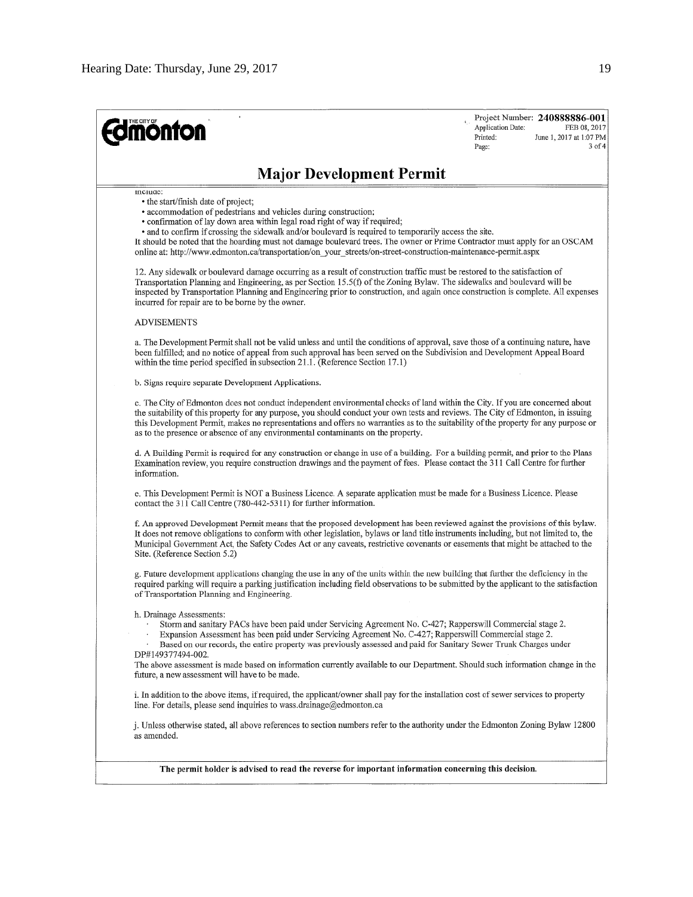| <b>mönton</b>                                                                                                                                                                                                                                                                                                                                                                                                                                                                                                                                                 | Project Number: 240888886-001<br>Application Date:<br>FEB 08, 2017<br>Printed:<br>June 1, 2017 at 1:07 PM<br>$3$ of $4$<br>Page: |
|---------------------------------------------------------------------------------------------------------------------------------------------------------------------------------------------------------------------------------------------------------------------------------------------------------------------------------------------------------------------------------------------------------------------------------------------------------------------------------------------------------------------------------------------------------------|----------------------------------------------------------------------------------------------------------------------------------|
| <b>Major Development Permit</b>                                                                                                                                                                                                                                                                                                                                                                                                                                                                                                                               |                                                                                                                                  |
| mciuae:<br>• the start/finish date of project;<br>• accommodation of pedestrians and vehicles during construction;<br>• confirmation of lay down area within legal road right of way if required;<br>• and to confirm if crossing the sidewalk and/or boulevard is required to temporarily access the site.<br>It should be noted that the hoarding must not damage boulevard trees. The owner or Prime Contractor must apply for an OSCAM<br>online at: http://www.edmonton.ca/transportation/on your streets/on-street-construction-maintenance-permit.aspx |                                                                                                                                  |
| 12. Any sidewalk or boulevard damage occurring as a result of construction traffic must be restored to the satisfaction of<br>Transportation Planning and Engineering, as per Section 15.5(f) of the Zoning Bylaw. The sidewalks and boulevard will be<br>inspected by Transportation Planning and Engineering prior to construction, and again once construction is complete. All expenses<br>incurred for repair are to be borne by the owner.                                                                                                              |                                                                                                                                  |
| <b>ADVISEMENTS</b>                                                                                                                                                                                                                                                                                                                                                                                                                                                                                                                                            |                                                                                                                                  |
| a. The Development Permit shall not be valid unless and until the conditions of approval, save those of a continuing nature, have<br>been fulfilled; and no notice of appeal from such approval has been served on the Subdivision and Development Appeal Board<br>within the time period specified in subsection 21.1. (Reference Section 17.1)                                                                                                                                                                                                              |                                                                                                                                  |
| b. Signs require separate Development Applications.                                                                                                                                                                                                                                                                                                                                                                                                                                                                                                           |                                                                                                                                  |
| c. The City of Edmonton does not conduct independent environmental checks of land within the City. If you are concerned about<br>the suitability of this property for any purpose, you should conduct your own tests and reviews. The City of Edmonton, in issuing<br>this Development Permit, makes no representations and offers no warranties as to the suitability of the property for any purpose or<br>as to the presence or absence of any environmental contaminants on the property.                                                                 |                                                                                                                                  |
| d. A Building Permit is required for any construction or change in use of a building. For a building permit, and prior to the Plans<br>Examination review, you require construction drawings and the payment of fees. Please contact the 311 Call Centre for further<br>information.                                                                                                                                                                                                                                                                          |                                                                                                                                  |
| e. This Development Permit is NOT a Business Licence. A separate application must be made for a Business Licence. Please<br>contact the 311 Call Centre (780-442-5311) for further information.                                                                                                                                                                                                                                                                                                                                                               |                                                                                                                                  |
| f. An approved Development Permit means that the proposed development has been reviewed against the provisions of this bylaw.<br>It does not remove obligations to conform with other legislation, bylaws or land title instruments including, but not limited to, the<br>Municipal Government Act, the Safety Codes Act or any caveats, restrictive covenants or easements that might be attached to the<br>Site. (Reference Section 5.2)                                                                                                                    |                                                                                                                                  |
| g. Future development applications changing the use in any of the units within the new building that further the deficiency in the<br>required parking will require a parking justification including field observations to be submitted by the applicant to the satisfaction<br>of Transportation Planning and Engineering.                                                                                                                                                                                                                                  |                                                                                                                                  |
| h. Drainage Assessments:<br>Storm and sanitary PACs have been paid under Servicing Agreement No. C-427; Rapperswill Commercial stage 2.<br>Expansion Assessment has been paid under Servicing Agreement No. C-427; Rapperswill Commercial stage 2.<br>Based on our records, the entire property was previously assessed and paid for Sanitary Sewer Trunk Charges under<br>DP#149377494-002.                                                                                                                                                                  |                                                                                                                                  |
| The above assessment is made based on information currently available to our Department. Should such information change in the<br>future, a new assessment will have to be made.                                                                                                                                                                                                                                                                                                                                                                              |                                                                                                                                  |
| i. In addition to the above items, if required, the applicant/owner shall pay for the installation cost of sewer services to property<br>line. For details, please send inquiries to wass drainage@edmonton.ca                                                                                                                                                                                                                                                                                                                                                |                                                                                                                                  |
| j. Unless otherwise stated, all above references to section numbers refer to the authority under the Edmonton Zoning Bylaw 12800<br>as amended.                                                                                                                                                                                                                                                                                                                                                                                                               |                                                                                                                                  |
| The permit holder is advised to read the reverse for important information concerning this decision.                                                                                                                                                                                                                                                                                                                                                                                                                                                          |                                                                                                                                  |
|                                                                                                                                                                                                                                                                                                                                                                                                                                                                                                                                                               |                                                                                                                                  |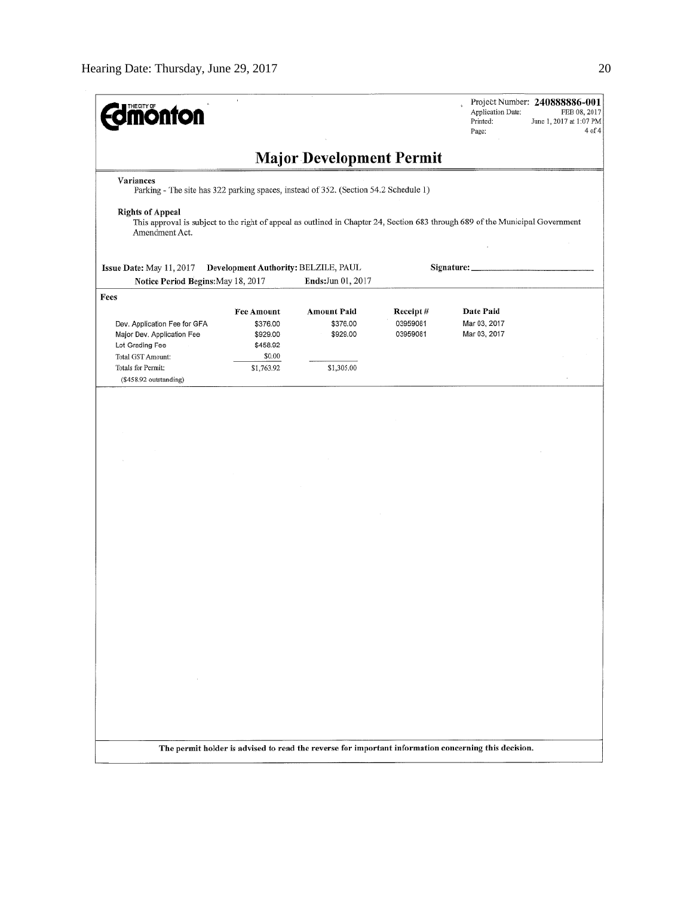| <b>monton</b>                                                                         |                                                       |                                                                                                                                |                                  | Application Date:<br>Printed:<br>Page:    | Project Number: 240888886-001<br>FEB 08, 2017<br>June 1, 2017 at 1:07 PM<br>4 of 4 |
|---------------------------------------------------------------------------------------|-------------------------------------------------------|--------------------------------------------------------------------------------------------------------------------------------|----------------------------------|-------------------------------------------|------------------------------------------------------------------------------------|
|                                                                                       |                                                       | <b>Major Development Permit</b>                                                                                                |                                  |                                           |                                                                                    |
| Variances                                                                             |                                                       | Parking - The site has 322 parking spaces, instead of 352. (Section 54.2 Schedule 1)                                           |                                  |                                           |                                                                                    |
| <b>Rights of Appeal</b><br>Amendment Act.                                             |                                                       | This approval is subject to the right of appeal as outlined in Chapter 24, Section 683 through 689 of the Municipal Government |                                  |                                           |                                                                                    |
| Issue Date: May 11, 2017<br>Notice Period Begins: May 18, 2017                        | Development Authority: BELZILE, PAUL                  | Ends:Jun 01, 2017                                                                                                              |                                  | Signature:                                |                                                                                    |
|                                                                                       |                                                       |                                                                                                                                |                                  |                                           |                                                                                    |
| Fees<br>Dev. Application Fee for GFA<br>Major Dev. Application Fee<br>Lot Grading Fee | <b>Fee Amount</b><br>\$376.00<br>\$929.00<br>\$458.92 | <b>Amount Paid</b><br>\$376.00<br>\$929.00                                                                                     | Receipt#<br>03959081<br>03959081 | Date Paid<br>Mar 03, 2017<br>Mar 03, 2017 |                                                                                    |
| Total GST Amount:<br>Totals for Permit:<br>(\$458.92 outstanding)                     | \$0.00<br>\$1,763.92                                  | \$1,305.00                                                                                                                     |                                  |                                           |                                                                                    |
| $\sim 10^{-11}$                                                                       |                                                       |                                                                                                                                |                                  |                                           |                                                                                    |
|                                                                                       |                                                       | The permit holder is advised to read the reverse for important information concerning this decision.                           |                                  |                                           |                                                                                    |